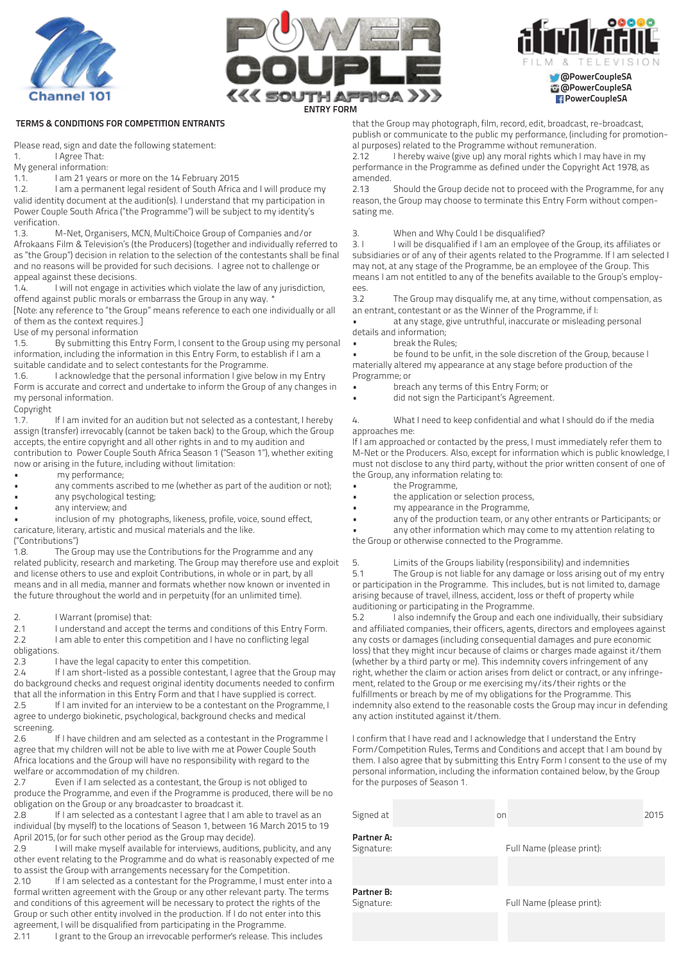





**PowerCoupleSA** 

## TERMS & CONDITIONS FOR COMPETITION ENTRANTS

Please read, sign and date the following statement:

1. I Agree That:

My general information:

1.1. I am 21 years or more on the 14 February 2015<br>1.2. I am a permanent legal resident of South Africa

I am a permanent legal resident of South Africa and I will produce my valid identity document at the audition(s). I understand that my participation in Power Couple South Africa ("the Programme") will be subject to my identity's verification.

1.3. M-Net, Organisers, MCN, MultiChoice Group of Companies and/or Afrokaans Film & Television's (the Producers) (together and individually referred to as "the Group") decision in relation to the selection of the contestants shall be final and no reasons will be provided for such decisions. I agree not to challenge or appeal against these decisions.<br>1.4. I will not engage in a

I will not engage in activities which violate the law of any jurisdiction, offend against public morals or embarrass the Group in any way. \*

[Note: any reference to "the Group" means reference to each one individually or all of them as the context requires.]

Use of my personal information

1.5. By submitting this Entry Form, I consent to the Group using my personal information, including the information in this Entry Form, to establish if I am a suitable candidate and to select contestants for the Programme.

1.6. I acknowledge that the personal information I give below in my Entry Form is accurate and correct and undertake to inform the Group of any changes in my personal information.

Copyright

1.7. If I am invited for an audition but not selected as a contestant, I hereby assign (transfer) irrevocably (cannot be taken back) to the Group, which the Group accepts, the entire copyright and all other rights in and to my audition and contribution to Power Couple South Africa Season 1 ("Season 1"), whether exiting now or arising in the future, including without limitation:

- my performance;
- any comments ascribed to me (whether as part of the audition or not);
- any psychological testing;
- any interview; and

inclusion of my photographs, likeness, profile, voice, sound effect,

caricature, literary, artistic and musical materials and the like.

("Contributions")

1.8. The Group may use the Contributions for the Programme and any related publicity, research and marketing. The Group may therefore use and exploit and license others to use and exploit Contributions, in whole or in part, by all means and in all media, manner and formats whether now known or invented in the future throughout the world and in perpetuity (for an unlimited time).

2. I Warrant (promise) that:

2.1 I understand and accept the terms and conditions of this Entry Form. 2.2 I am able to enter this competition and I have no conflicting legal obligations.

2.3 I have the legal capacity to enter this competition.

2.4 If I am short-listed as a possible contestant, I agree that the Group may do background checks and request original identity documents needed to confirm that all the information in this Entry Form and that I have supplied is correct. 2.5 If I am invited for an interview to be a contestant on the Programme, I agree to undergo biokinetic, psychological, background checks and medical

screening.<br>2.6 If I have children and am selected as a contestant in the Programme I agree that my children will not be able to live with me at Power Couple South Africa locations and the Group will have no responsibility with regard to the welfare or accommodation of my children.

2.7 Even if I am selected as a contestant, the Group is not obliged to produce the Programme, and even if the Programme is produced, there will be no obligation on the Group or any broadcaster to broadcast it.

2.8 If I am selected as a contestant I agree that I am able to travel as an individual (by myself) to the locations of Season 1, between 16 March 2015 to 19 April 2015, (or for such other period as the Group may decide).

2.9 I will make myself available for interviews, auditions, publicity, and any other event relating to the Programme and do what is reasonably expected of me to assist the Group with arrangements necessary for the Competition.

2.10 If I am selected as a contestant for the Programme, I must enter into a formal written agreement with the Group or any other relevant party. The terms and conditions of this agreement will be necessary to protect the rights of the Group or such other entity involved in the production. If I do not enter into this agreement, I will be disqualified from participating in the Programme.

2.11 I grant to the Group an irrevocable performer's release. This includes

that the Group may photograph, film, record, edit, broadcast, re-broadcast, publish or communicate to the public my performance, (including for promotional purposes) related to the Programme without remuneration.

2.12 I hereby waive (give up) any moral rights which I may have in my performance in the Programme as defined under the Copyright Act 1978, as amended.

2.13 Should the Group decide not to proceed with the Programme, for any reason, the Group may choose to terminate this Entry Form without compensating me.

3. When and Why Could I be disqualified?<br>3. I will be disqualified if I am an employee

I will be disqualified if I am an employee of the Group, its affiliates or subsidiaries or of any of their agents related to the Programme. If I am selected I may not, at any stage of the Programme, be an employee of the Group. This means I am not entitled to any of the benefits available to the Group's employees.<br>3.2

The Group may disqualify me, at any time, without compensation, as an entrant, contestant or as the Winner of the Programme, if I:

at any stage, give untruthful, inaccurate or misleading personal details and information;

• break the Rules;

be found to be unfit, in the sole discretion of the Group, because I materially altered my appearance at any stage before production of the Programme; or

- breach any terms of this Entry Form; or
- did not sign the Participant's Agreement.

4. What I need to keep confidential and what I should do if the media approaches me:

If I am approached or contacted by the press, I must immediately refer them to M-Net or the Producers. Also, except for information which is public knowledge, I must not disclose to any third party, without the prior written consent of one of the Group, any information relating to:

- the Programme,
- the application or selection process,
- my appearance in the Programme,
- any of the production team, or any other entrants or Participants; or

any other information which may come to my attention relating to the Group or otherwise connected to the Programme.

5. Limits of the Groups liability (responsibility) and indemnities

5.1 The Group is not liable for any damage or loss arising out of my entry or participation in the Programme. This includes, but is not limited to, damage arising because of travel, illness, accident, loss or theft of property while auditioning or participating in the Programme.

5.2 I also indemnify the Group and each one individually, their subsidiary and affiliated companies, their officers, agents, directors and employees against any costs or damages (including consequential damages and pure economic loss) that they might incur because of claims or charges made against it/them (whether by a third party or me). This indemnity covers infringement of any right, whether the claim or action arises from delict or contract, or any infringement, related to the Group or me exercising my/its/their rights or the fulfillments or breach by me of my obligations for the Programme. This indemnity also extend to the reasonable costs the Group may incur in defending any action instituted against it/them.

I confirm that I have read and I acknowledge that I understand the Entry Form/Competition Rules, Terms and Conditions and accept that I am bound by them. I also agree that by submitting this Entry Form I consent to the use of my personal information, including the information contained below, by the Group for the purposes of Season 1.

| Signed at                | on |                           |  | 2015 |
|--------------------------|----|---------------------------|--|------|
| Partner A:<br>Signature: |    | Full Name (please print): |  |      |
|                          |    |                           |  |      |
| Partner B:<br>Signature: |    | Full Name (please print): |  |      |
|                          |    |                           |  |      |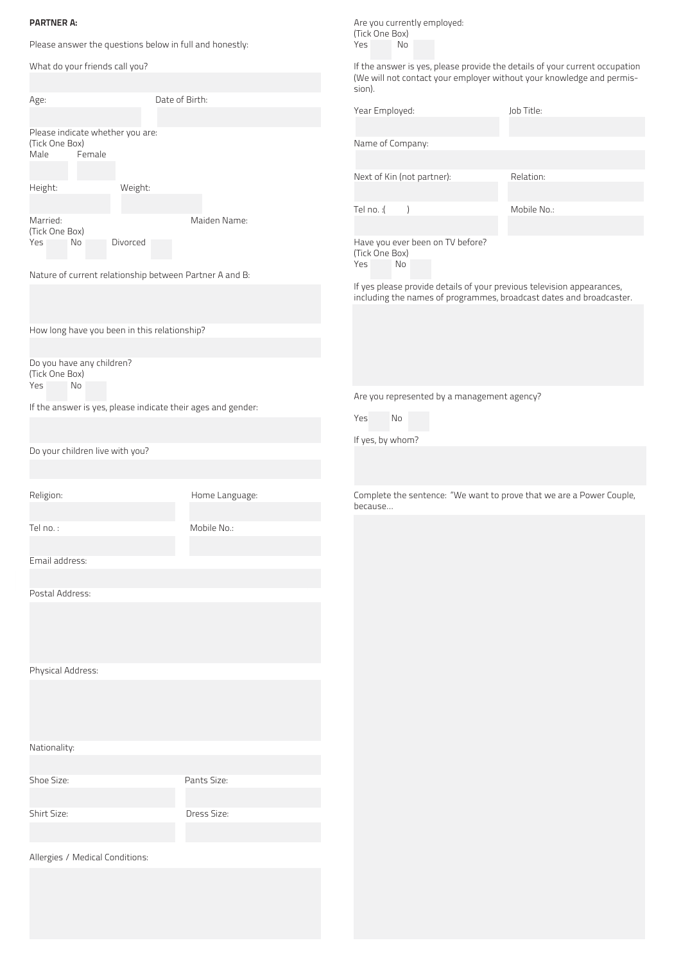## PARTNER A:

Please answer the questions below in full and honestly:

|                                                            |        |                                              |                | Please answer the questions below in full and honestly:      | Yes                        | No        |                                             |                                                                                                                                                      |
|------------------------------------------------------------|--------|----------------------------------------------|----------------|--------------------------------------------------------------|----------------------------|-----------|---------------------------------------------|------------------------------------------------------------------------------------------------------------------------------------------------------|
| What do your friends call you?                             |        |                                              |                |                                                              | sion).                     |           |                                             | If the answer is yes, please provide the details of your current occupation<br>(We will not contact your employer without your knowledge and permis- |
| Age:                                                       |        |                                              | Date of Birth: |                                                              |                            |           |                                             |                                                                                                                                                      |
|                                                            |        |                                              |                |                                                              | Year Employed:             |           |                                             | Job Title:                                                                                                                                           |
| Please indicate whether you are:<br>(Tick One Box)<br>Male | Female |                                              |                |                                                              | Name of Company:           |           |                                             |                                                                                                                                                      |
|                                                            |        |                                              |                |                                                              | Next of Kin (not partner): |           |                                             | Relation:                                                                                                                                            |
| Height:                                                    |        | Weight:                                      |                |                                                              |                            |           |                                             |                                                                                                                                                      |
|                                                            |        |                                              |                |                                                              |                            |           |                                             |                                                                                                                                                      |
|                                                            |        |                                              |                |                                                              | Tel no. : (                | $\lambda$ |                                             | Mobile No.:                                                                                                                                          |
| Married:<br>(Tick One Box)<br>Yes                          | No     | Divorced                                     |                | Maiden Name:                                                 | (Tick One Box)             |           | Have you ever been on TV before?            |                                                                                                                                                      |
|                                                            |        |                                              |                |                                                              | Yes                        | No        |                                             |                                                                                                                                                      |
|                                                            |        |                                              |                | Nature of current relationship between Partner A and B:      |                            |           |                                             |                                                                                                                                                      |
|                                                            |        |                                              |                |                                                              |                            |           |                                             | If yes please provide details of your previous television appearances,<br>including the names of programmes, broadcast dates and broadcaster.        |
|                                                            |        | How long have you been in this relationship? |                |                                                              |                            |           |                                             |                                                                                                                                                      |
|                                                            |        |                                              |                |                                                              |                            |           |                                             |                                                                                                                                                      |
| Do you have any children?<br>(Tick One Box)<br>Yes         | No     |                                              |                |                                                              |                            |           |                                             |                                                                                                                                                      |
|                                                            |        |                                              |                |                                                              |                            |           | Are you represented by a management agency? |                                                                                                                                                      |
|                                                            |        |                                              |                | If the answer is yes, please indicate their ages and gender: |                            | No        |                                             |                                                                                                                                                      |
|                                                            |        |                                              |                |                                                              | Yes                        |           |                                             |                                                                                                                                                      |
|                                                            |        |                                              |                |                                                              | If yes, by whom?           |           |                                             |                                                                                                                                                      |
| Do your children live with you?                            |        |                                              |                |                                                              |                            |           |                                             |                                                                                                                                                      |
|                                                            |        |                                              |                |                                                              |                            |           |                                             |                                                                                                                                                      |
|                                                            |        |                                              |                |                                                              |                            |           |                                             |                                                                                                                                                      |
| Religion:                                                  |        |                                              |                | Home Language:                                               | because                    |           |                                             | Complete the sentence: "We want to prove that we are a Power Couple,                                                                                 |
| Tel no.:                                                   |        |                                              |                | Mobile No.:                                                  |                            |           |                                             |                                                                                                                                                      |
|                                                            |        |                                              |                |                                                              |                            |           |                                             |                                                                                                                                                      |
| Email address:                                             |        |                                              |                |                                                              |                            |           |                                             |                                                                                                                                                      |
|                                                            |        |                                              |                |                                                              |                            |           |                                             |                                                                                                                                                      |
|                                                            |        |                                              |                |                                                              |                            |           |                                             |                                                                                                                                                      |
| Postal Address:                                            |        |                                              |                |                                                              |                            |           |                                             |                                                                                                                                                      |
|                                                            |        |                                              |                |                                                              |                            |           |                                             |                                                                                                                                                      |
|                                                            |        |                                              |                |                                                              |                            |           |                                             |                                                                                                                                                      |
| Physical Address:                                          |        |                                              |                |                                                              |                            |           |                                             |                                                                                                                                                      |
|                                                            |        |                                              |                |                                                              |                            |           |                                             |                                                                                                                                                      |
| Nationality:                                               |        |                                              |                |                                                              |                            |           |                                             |                                                                                                                                                      |
|                                                            |        |                                              |                |                                                              |                            |           |                                             |                                                                                                                                                      |
|                                                            |        |                                              |                |                                                              |                            |           |                                             |                                                                                                                                                      |
| Shoe Size:                                                 |        |                                              |                | Pants Size:                                                  |                            |           |                                             |                                                                                                                                                      |
|                                                            |        |                                              |                |                                                              |                            |           |                                             |                                                                                                                                                      |
| Shirt Size:                                                |        |                                              |                | Dress Size:                                                  |                            |           |                                             |                                                                                                                                                      |
|                                                            |        |                                              |                |                                                              |                            |           |                                             |                                                                                                                                                      |
|                                                            |        |                                              |                |                                                              |                            |           |                                             |                                                                                                                                                      |
| Allergies / Medical Conditions:                            |        |                                              |                |                                                              |                            |           |                                             |                                                                                                                                                      |
|                                                            |        |                                              |                |                                                              |                            |           |                                             |                                                                                                                                                      |
|                                                            |        |                                              |                |                                                              |                            |           |                                             |                                                                                                                                                      |
|                                                            |        |                                              |                |                                                              |                            |           |                                             |                                                                                                                                                      |

Are you currently employed:

(Tick One Box)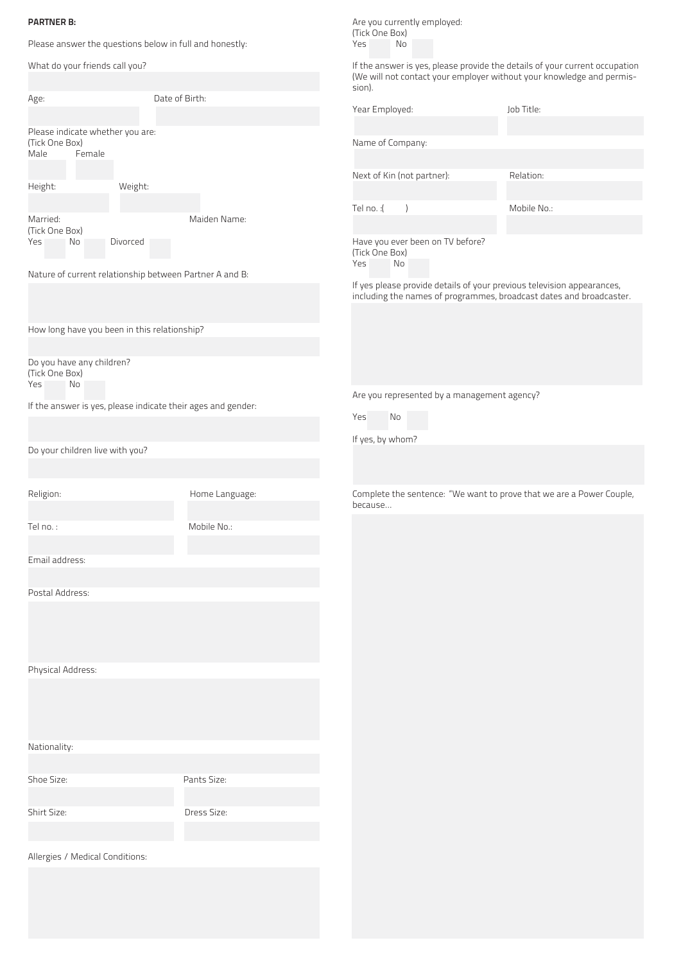## PARTNER B:

Please answer the questions below in full and honestly:

| What do your friends call you?                                       |                | sion).                                                          | If the answer is yes, please provide the details of your current occupation<br>(We will not contact your employer without your knowledge and permis- |
|----------------------------------------------------------------------|----------------|-----------------------------------------------------------------|------------------------------------------------------------------------------------------------------------------------------------------------------|
| Age:                                                                 | Date of Birth: |                                                                 |                                                                                                                                                      |
|                                                                      |                | Year Employed:                                                  | Job Title:                                                                                                                                           |
| Please indicate whether you are:<br>(Tick One Box)<br>Male<br>Female |                | Name of Company:                                                |                                                                                                                                                      |
| Height:<br>Weight:                                                   |                | Next of Kin (not partner):                                      | Relation:                                                                                                                                            |
|                                                                      |                |                                                                 |                                                                                                                                                      |
| Married:<br>(Tick One Box)                                           | Maiden Name:   | Tel no. : (                                                     | Mobile No.:                                                                                                                                          |
| Yes<br>No<br>Divorced                                                |                | Have you ever been on TV before?<br>(Tick One Box)<br>Yes<br>No |                                                                                                                                                      |
| Nature of current relationship between Partner A and B:              |                |                                                                 |                                                                                                                                                      |
|                                                                      |                |                                                                 | If yes please provide details of your previous television appearances,<br>including the names of programmes, broadcast dates and broadcaster.        |
| How long have you been in this relationship?                         |                |                                                                 |                                                                                                                                                      |
|                                                                      |                |                                                                 |                                                                                                                                                      |
|                                                                      |                |                                                                 |                                                                                                                                                      |
| Do you have any children?<br>(Tick One Box)<br>Yes<br>No             |                |                                                                 |                                                                                                                                                      |
| If the answer is yes, please indicate their ages and gender:         |                | Are you represented by a management agency?                     |                                                                                                                                                      |
|                                                                      |                | Yes<br>No                                                       |                                                                                                                                                      |
|                                                                      |                |                                                                 |                                                                                                                                                      |
| Do your children live with you?                                      |                | If yes, by whom?                                                |                                                                                                                                                      |
|                                                                      |                |                                                                 |                                                                                                                                                      |
| Religion:                                                            | Home Language: | because                                                         | Complete the sentence: "We want to prove that we are a Power Couple,                                                                                 |
| Tel no.:                                                             | Mobile No.:    |                                                                 |                                                                                                                                                      |
|                                                                      |                |                                                                 |                                                                                                                                                      |
| Email address:                                                       |                |                                                                 |                                                                                                                                                      |
|                                                                      |                |                                                                 |                                                                                                                                                      |
| Postal Address:                                                      |                |                                                                 |                                                                                                                                                      |
|                                                                      |                |                                                                 |                                                                                                                                                      |
| Physical Address:                                                    |                |                                                                 |                                                                                                                                                      |
|                                                                      |                |                                                                 |                                                                                                                                                      |
| Nationality:                                                         |                |                                                                 |                                                                                                                                                      |
| Shoe Size:                                                           | Pants Size:    |                                                                 |                                                                                                                                                      |
|                                                                      |                |                                                                 |                                                                                                                                                      |
| Shirt Size:                                                          | Dress Size:    |                                                                 |                                                                                                                                                      |
|                                                                      |                |                                                                 |                                                                                                                                                      |
|                                                                      |                |                                                                 |                                                                                                                                                      |
| Allergies / Medical Conditions:                                      |                |                                                                 |                                                                                                                                                      |
|                                                                      |                |                                                                 |                                                                                                                                                      |

Are you currently employed:

(Tick One Box) Yes No